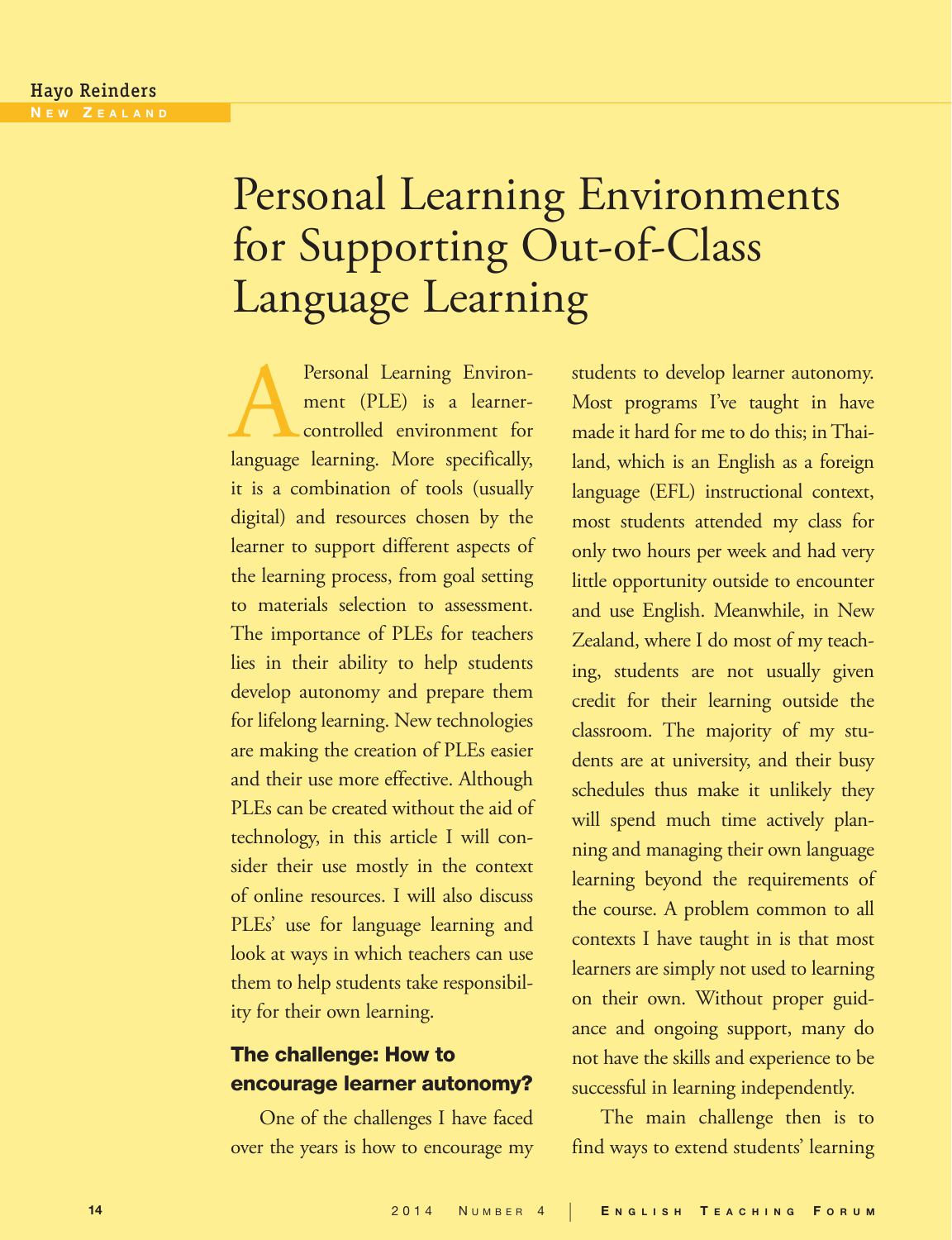# Personal Learning Environments for Supporting Out-of-Class Language Learning

Personal Learning Environ-<br>
ment (PLE) is a learner-<br>
controlled environment for<br>
language learning. More specifically, ment (PLE) is a learnercontrolled environment for it is a combination of tools (usually digital) and resources chosen by the learner to support different aspects of the learning process, from goal setting to materials selection to assessment. The importance of PLEs for teachers lies in their ability to help students develop autonomy and prepare them for lifelong learning. New technologies are making the creation of PLEs easier and their use more effective. Although PLEs can be created without the aid of technology, in this article I will consider their use mostly in the context of online resources. I will also discuss PLEs' use for language learning and look at ways in which teachers can use them to help students take responsibility for their own learning.

# The challenge: How to encourage learner autonomy?

One of the challenges I have faced over the years is how to encourage my students to develop learner autonomy. Most programs I've taught in have made it hard for me to do this; in Thailand, which is an English as a foreign language (EFL) instructional context, most students attended my class for only two hours per week and had very little opportunity outside to encounter and use English. Meanwhile, in New Zealand, where I do most of my teaching, students are not usually given credit for their learning outside the classroom. The majority of my students are at university, and their busy schedules thus make it unlikely they will spend much time actively planning and managing their own language learning beyond the requirements of the course. A problem common to all contexts I have taught in is that most learners are simply not used to learning on their own. Without proper guidance and ongoing support, many do not have the skills and experience to be successful in learning independently.

The main challenge then is to find ways to extend students' learning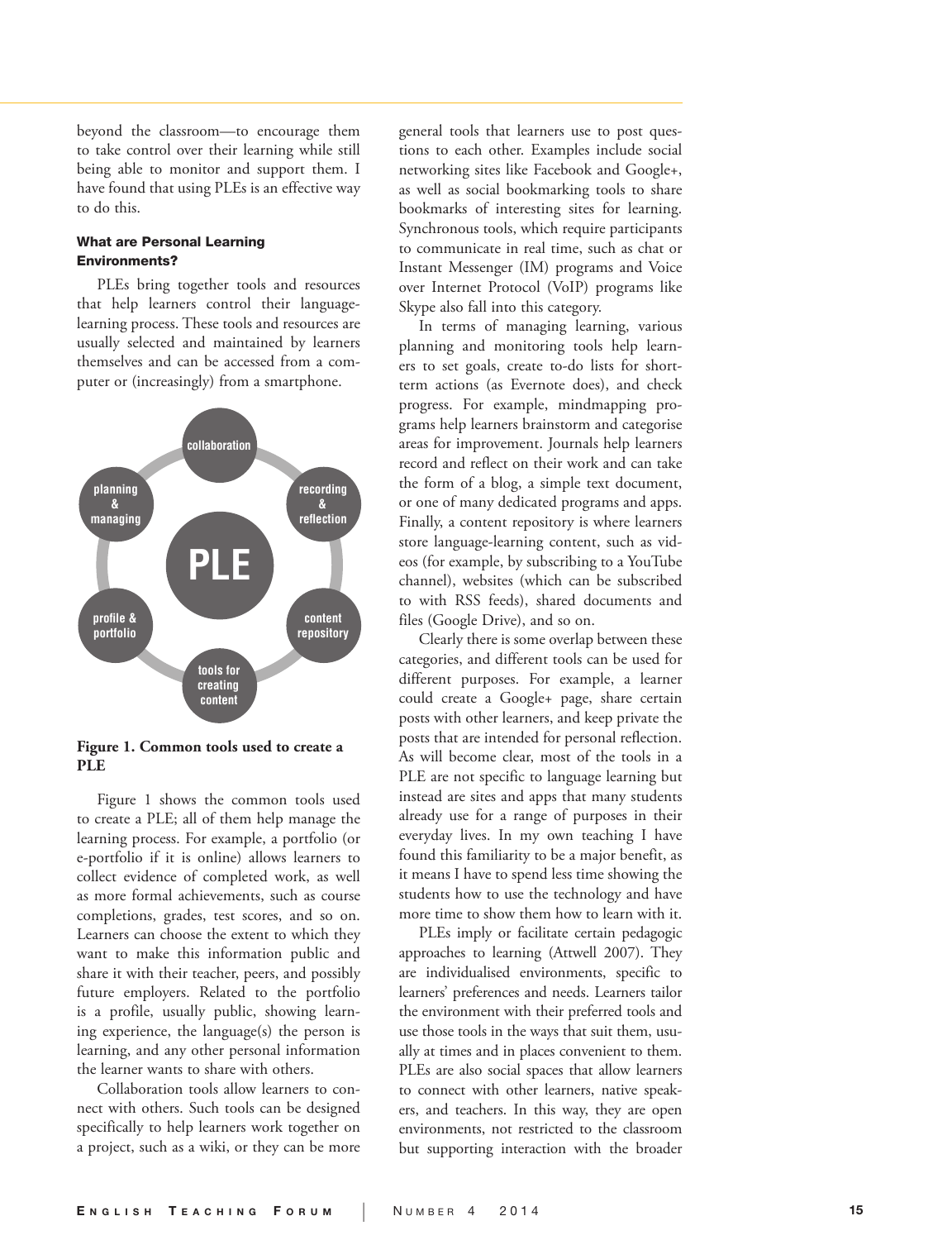beyond the classroom—to encourage them to take control over their learning while still being able to monitor and support them. I have found that using PLEs is an effective way to do this.

# What are Personal Learning Environments?

PLEs bring together tools and resources that help learners control their languagelearning process. These tools and resources are usually selected and maintained by learners themselves and can be accessed from a com puter or (increasingly) from a smartphone.



**Figure 1. Common tools used to create a PLE**

Figure 1 shows the common tools used to create a PLE; all of them help manage the learning process. For example, a portfolio (or e-portfolio if it is online) allows learners to collect evidence of completed work, as well as more formal achievements, such as course completions, grades, test scores, and so on. Learners can choose the extent to which they want to make this information public and share it with their teacher, peers, and possibly future employers. Related to the portfolio is a profile, usually public, showing learn ing experience, the language(s) the person is learning, and any other personal information the learner wants to share with others.

Collaboration tools allow learners to con nect with others. Such tools can be designed specifically to help learners work together on a project, such as a wiki, or they can be more

general tools that learners use to post ques tions to each other. Examples include social networking sites like Facebook and Google+, as well as social bookmarking tools to share bookmarks of interesting sites for learning. Synchronous tools, which require participants to communicate in real time, such as chat or Instant Messenger (IM) programs and Voice over Internet Protocol (VoIP) programs like Skype also fall into this category.

In terms of managing learning, various planning and monitoring tools help learn ers to set goals, create to-do lists for shortterm actions (as Evernote does), and check progress. For example, mindmapping pro grams help learners brainstorm and categorise areas for improvement. Journals help learners record and reflect on their work and can take the form of a blog, a simple text document, or one of many dedicated programs and apps. Finally, a content repository is where learners store language-learning content, such as vid eos (for example, by subscribing to a YouTube channel), websites (which can be subscribed to with RSS feeds), shared documents and files (Google Drive), and so on.

Clearly there is some overlap between these categories, and different tools can be used for different purposes. For example, a learner could create a Google+ page, share certain posts with other learners, and keep private the posts that are intended for personal reflection. As will become clear, most of the tools in a PLE are not specific to language learning but instead are sites and apps that many students already use for a range of purposes in their everyday lives. In my own teaching I have found this familiarity to be a major benefit, as it means I have to spend less time showing the students how to use the technology and have more time to show them how to learn with it.

PLEs imply or facilitate certain pedagogic approaches to learning (Attwell 2007). They are individualised environments, specific to learners' preferences and needs. Learners tailor the environment with their preferred tools and use those tools in the ways that suit them, usu ally at times and in places convenient to them. PLEs are also social spaces that allow learners to connect with other learners, native speak ers, and teachers. In this way, they are open environments, not restricted to the classroom but supporting interaction with the broader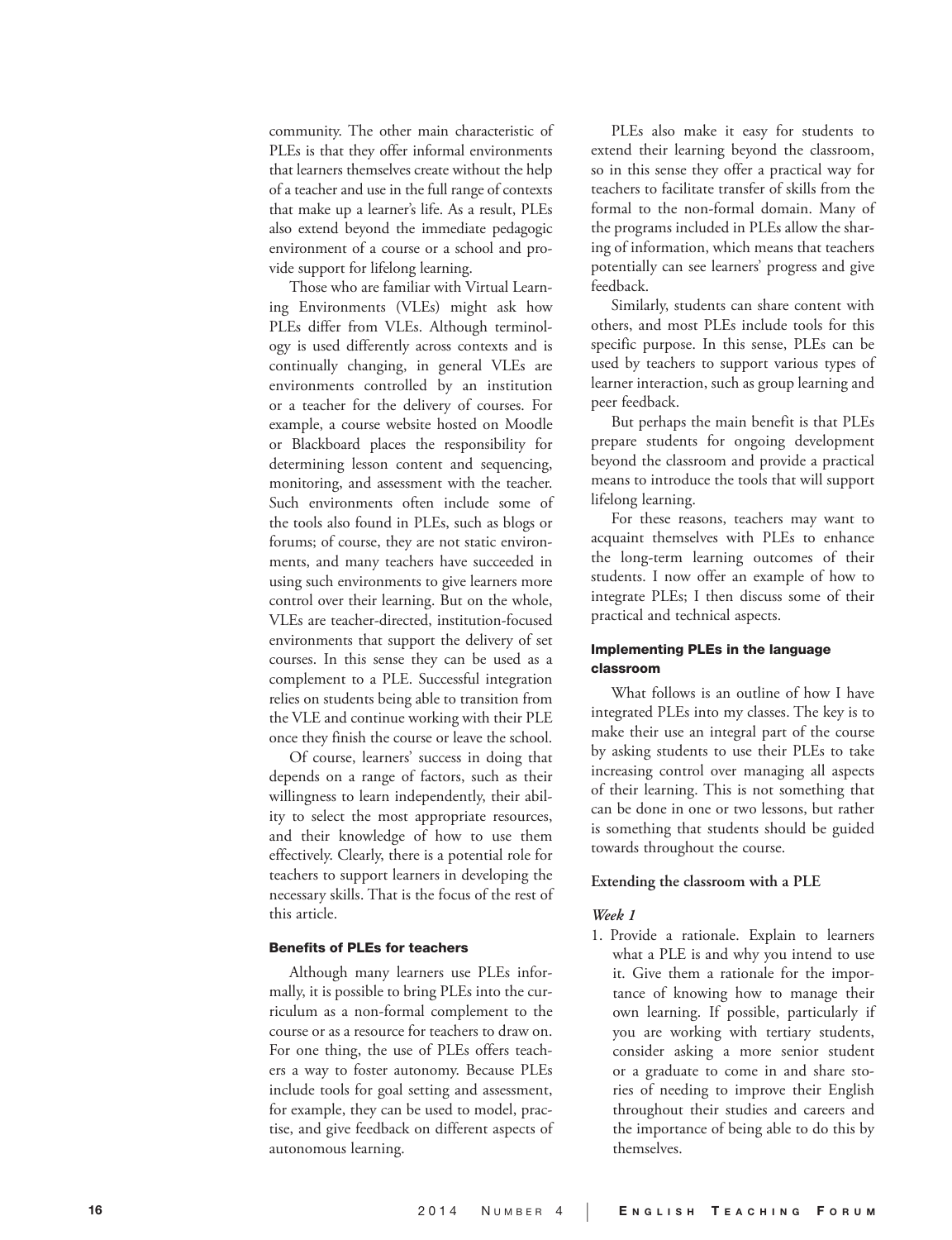community. The other main characteristic of PLEs is that they offer informal environments that learners themselves create without the help of a teacher and use in the full range of contexts that make up a learner's life. As a result, PLEs also extend beyond the immediate pedagogic environment of a course or a school and pro vide support for lifelong learning.

Those who are familiar with Virtual Learn ing Environments (VLEs) might ask how PLEs differ from VLEs. Although terminol ogy is used differently across contexts and is continually changing, in general VLEs are environments controlled by an institution or a teacher for the delivery of courses. For example, a course website hosted on Moodle or Blackboard places the responsibility for determining lesson content and sequencing, monitoring, and assessment with the teacher. Such environments often include some of the tools also found in PLEs, such as blogs or forums; of course, they are not static environ ments, and many teachers have succeeded in using such environments to give learners more control over their learning. But on the whole, VLEs are teacher-directed, institution-focused environments that support the delivery of set courses. In this sense they can be used as a complement to a PLE. Successful integration relies on students being able to transition from the VLE and continue working with their PLE once they finish the course or leave the school.

Of course, learners' success in doing that depends on a range of factors, such as their willingness to learn independently, their abil ity to select the most appropriate resources, and their knowledge of how to use them effectively. Clearly, there is a potential role for teachers to support learners in developing the necessary skills. That is the focus of the rest of this article.

#### Benefits of PLEs for teachers

Although many learners use PLEs infor mally, it is possible to bring PLEs into the cur riculum as a non-formal complement to the course or as a resource for teachers to draw on. For one thing, the use of PLEs offers teach ers a way to foster autonomy. Because PLEs include tools for goal setting and assessment, for example, they can be used to model, prac tise, and give feedback on different aspects of autonomous learning.

PLEs also make it easy for students to extend their learning beyond the classroom, so in this sense they offer a practical way for teachers to facilitate transfer of skills from the formal to the non-formal domain. Many of the programs included in PLEs allow the shar ing of information, which means that teachers potentially can see learners' progress and give feedback.

Similarly, students can share content with others, and most PLEs include tools for this specific purpose. In this sense, PLEs can be used by teachers to support various types of learner interaction, such as group learning and peer feedback.

But perhaps the main benefit is that PLEs prepare students for ongoing development beyond the classroom and provide a practical means to introduce the tools that will support lifelong learning.

For these reasons, teachers may want to acquaint themselves with PLEs to enhance the long-term learning outcomes of their students. I now offer an example of how to integrate PLEs; I then discuss some of their practical and technical aspects.

# Implementing PLEs in the language classroom

What follows is an outline of how I have integrated PLEs into my classes. The key is to make their use an integral part of the course by asking students to use their PLEs to take increasing control over managing all aspects of their learning. This is not something that can be done in one or two lessons, but rather is something that students should be guided towards throughout the course.

#### **Extending the classroom with a PLE**

#### *Week 1*

1. Provide a rationale. Explain to learners what a PLE is and why you intend to use it. Give them a rationale for the impor tance of knowing how to manage their own learning. If possible, particularly if you are working with tertiary students, consider asking a more senior student or a graduate to come in and share sto ries of needing to improve their English throughout their studies and careers and the importance of being able to do this by themselves.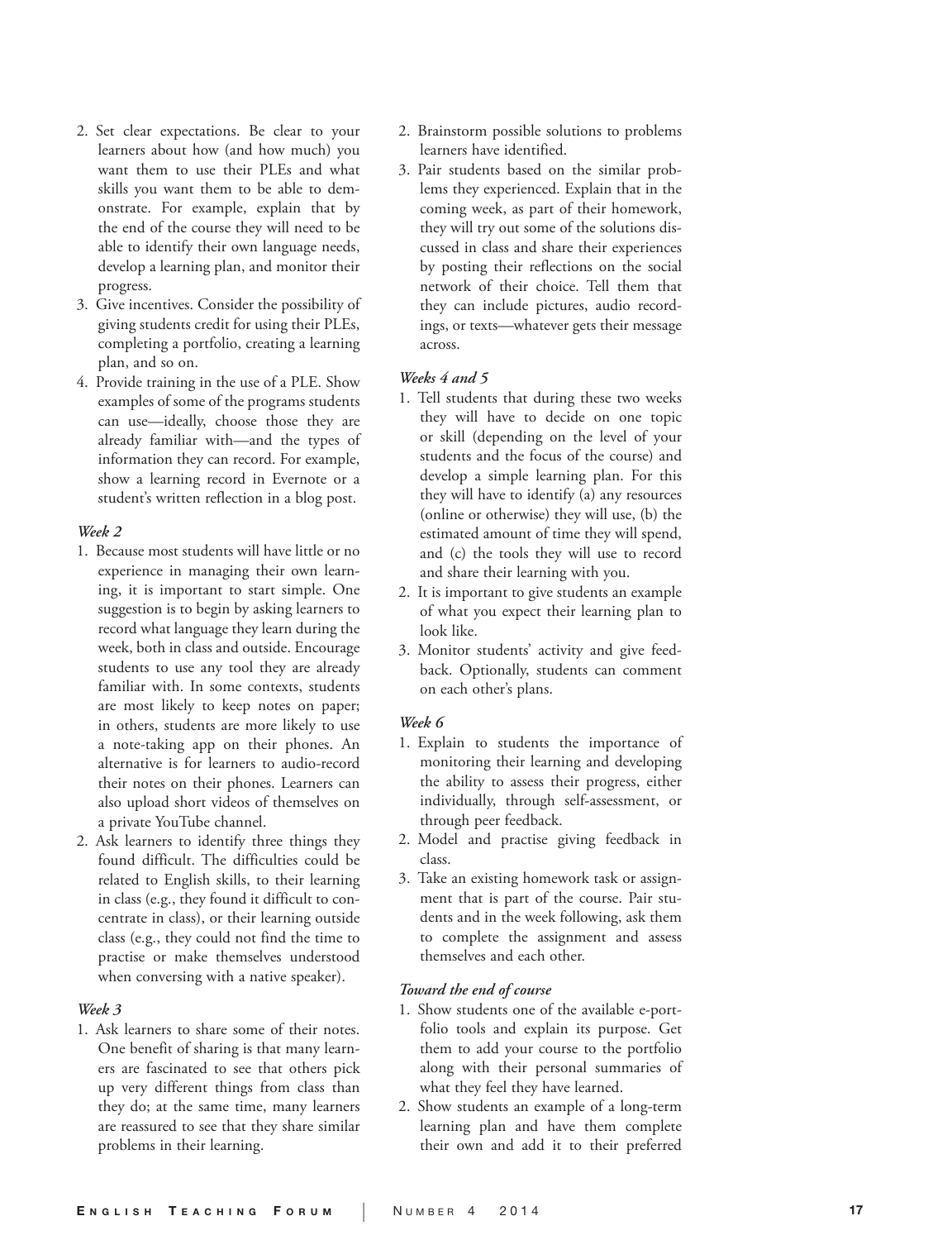- 2. Set clear expectations. Be clear to your learners about how (and how much) you want them to use their PLEs and what skills you want them to be able to dem onstrate. For example, explain that by the end of the course they will need to be able to identify their own language needs, develop a learning plan, and monitor their progress.
- 3. Give incentives. Consider the possibility of giving students credit for using their PLEs, completing a portfolio, creating a learning plan, and so on.
- 4. Provide training in the use of a PLE. Show examples of some of the programs students can use—ideally, choose those they are already familiar with—and the types of information they can record. For example, show a learning record in Evernote or a student's written reflection in a blog post.

#### *Week 2*

- 1. Because most students will have little or no experience in managing their own learn ing, it is important to start simple. One suggestion is to begin by asking learners to record what language they learn during the week, both in class and outside. Encourage students to use any tool they are already familiar with. In some contexts, students are most likely to keep notes on paper; in others, students are more likely to use a note-taking app on their phones. An alternative is for learners to audio-record their notes on their phones. Learners can also upload short videos of themselves on a private YouTube channel.
- 2. Ask learners to identify three things they found difficult. The difficulties could be related to English skills, to their learning in class (e.g., they found it difficult to con centrate in class), or their learning outside class (e.g., they could not find the time to practise or make themselves understood when conversing with a native speaker).

# *Week 3*

1. Ask learners to share some of their notes. One benefit of sharing is that many learn ers are fascinated to see that others pick up very different things from class than they do; at the same time, many learners are reassured to see that they share similar problems in their learning.

- 2. Brainstorm possible solutions to problems learners have identified.
- 3. Pair students based on the similar prob lems they experienced. Explain that in the coming week, as part of their homework, they will try out some of the solutions dis cussed in class and share their experiences by posting their reflections on the social network of their choice. Tell them that they can include pictures, audio record ings, or texts—whatever gets their message across.

# *Weeks 4 and 5*

- 1. Tell students that during these two weeks they will have to decide on one topic or skill (depending on the level of your students and the focus of the course) and develop a simple learning plan. For this they will have to identify (a) any resources (online or otherwise) they will use, (b) the estimated amount of time they will spend, and (c) the tools they will use to record and share their learning with you.
- 2. It is important to give students an example of what you expect their learning plan to look like.
- 3. Monitor students' activity and give feed back. Optionally, students can comment on each other's plans.

# *Week 6*

- 1. Explain to students the importance of monitoring their learning and developing the ability to assess their progress, either individually, through self-assessment, or through peer feedback.
- 2. Model and practise giving feedback in class.
- 3. Take an existing homework task or assign ment that is part of the course. Pair stu dents and in the week following, ask them to complete the assignment and assess themselves and each other.

#### *Toward the end of course*

- 1. Show students one of the available e-port folio tools and explain its purpose. Get them to add your course to the portfolio along with their personal summaries of what they feel they have learned.
- 2. Show students an example of a long-term learning plan and have them complete their own and add it to their preferred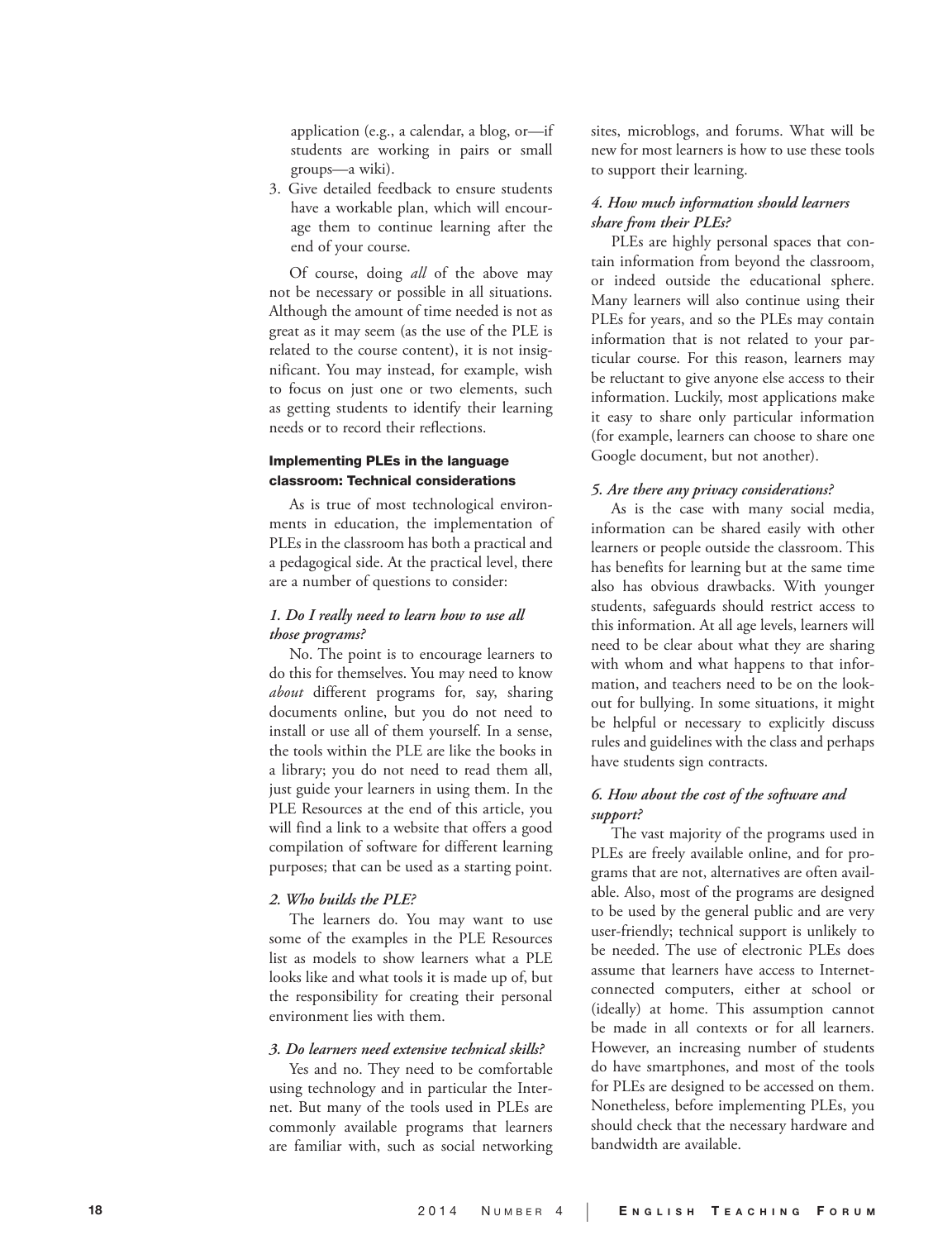application (e.g., a calendar, a blog, or—if students are working in pairs or small groups—a wiki).

3. Give detailed feedback to ensure students have a workable plan, which will encour age them to continue learning after the end of your course.

Of course, doing *all* of the above may not be necessary or possible in all situations. Although the amount of time needed is not as great as it may seem (as the use of the PLE is related to the course content), it is not insig nificant. You may instead, for example, wish to focus on just one or two elements, such as getting students to identify their learning needs or to record their reflections.

# Implementing PLEs in the language classroom: Technical considerations

As is true of most technological environ ments in education, the implementation of PLEs in the classroom has both a practical and a pedagogical side. At the practical level, there are a number of questions to consider:

# *1. Do I really need to learn how to use all those programs?*

No. The point is to encourage learners to do this for themselves. You may need to know *about* different programs for, say, sharing documents online, but you do not need to install or use all of them yourself. In a sense, the tools within the PLE are like the books in a library; you do not need to read them all, just guide your learners in using them. In the PLE Resources at the end of this article, you will find a link to a website that offers a good compilation of software for different learning purposes; that can be used as a starting point.

#### *2. Who builds the PLE?*

The learners do. You may want to use some of the examples in the PLE Resources list as models to show learners what a PLE looks like and what tools it is made up of, but the responsibility for creating their personal environment lies with them.

# *3. Do learners need extensive technical skills?*

Yes and no. They need to be comfortable using technology and in particular the Inter net. But many of the tools used in PLEs are commonly available programs that learners are familiar with, such as social networking sites, microblogs, and forums. What will be new for most learners is how to use these tools to support their learning.

# *4. How much information should learners share from their PLEs?*

PLEs are highly personal spaces that con tain information from beyond the classroom, or indeed outside the educational sphere. Many learners will also continue using their PLEs for years, and so the PLEs may contain information that is not related to your par ticular course. For this reason, learners may be reluctant to give anyone else access to their information. Luckily, most applications make it easy to share only particular information (for example, learners can choose to share one Google document, but not another).

#### *5. Are there any privacy considerations?*

As is the case with many social media, information can be shared easily with other learners or people outside the classroom. This has benefits for learning but at the same time also has obvious drawbacks. With younger students, safeguards should restrict access to this information. At all age levels, learners will need to be clear about what they are sharing with whom and what happens to that infor mation, and teachers need to be on the look out for bullying. In some situations, it might be helpful or necessary to explicitly discuss rules and guidelines with the class and perhaps have students sign contracts.

# *6. How about the cost of the software and support?*

The vast majority of the programs used in PLEs are freely available online, and for pro grams that are not, alternatives are often avail able. Also, most of the programs are designed to be used by the general public and are very user-friendly; technical support is unlikely to be needed. The use of electronic PLEs does assume that learners have access to Internetconnected computers, either at school or (ideally) at home. This assumption cannot be made in all contexts or for all learners. However, an increasing number of students do have smartphones, and most of the tools for PLEs are designed to be accessed on them. Nonetheless, before implementing PLEs, you should check that the necessary hardware and bandwidth are available.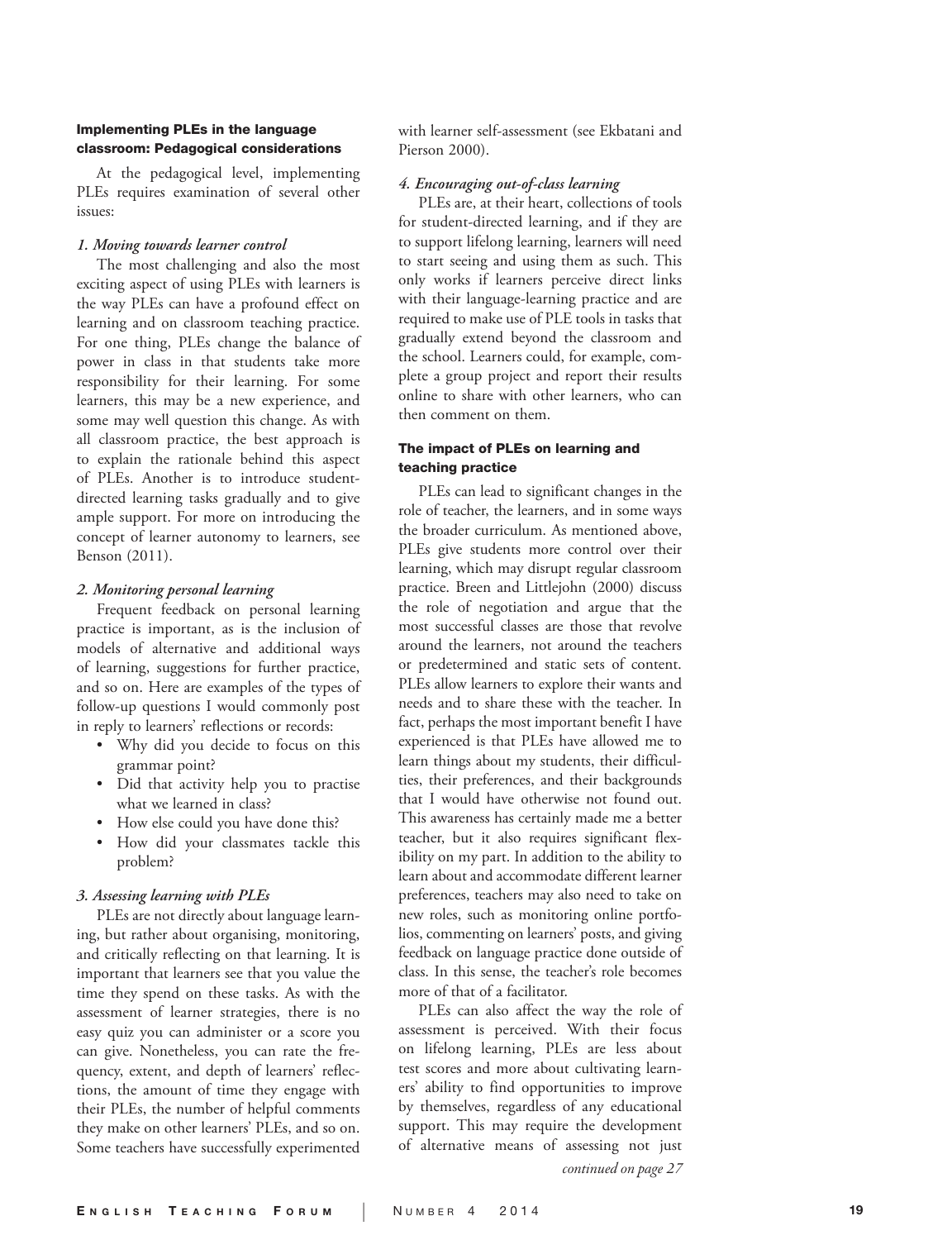# Implementing PLEs in the language classroom: Pedagogical considerations

At the pedagogical level, implementing PLEs requires examination of several other issues:

#### *1. Moving towards learner control*

The most challenging and also the most exciting aspect of using PLEs with learners is the way PLEs can have a profound effect on learning and on classroom teaching practice. For one thing, PLEs change the balance of power in class in that students take more responsibility for their learning. For some learners, this may be a new experience, and some may well question this change. As with all classroom practice, the best approach is to explain the rationale behind this aspect of PLEs. Another is to introduce studentdirected learning tasks gradually and to give ample support. For more on introducing the concept of learner autonomy to learners, see Benson (2011).

#### *2. Monitoring personal learning*

Frequent feedback on personal learning practice is important, as is the inclusion of models of alternative and additional ways of learning, suggestions for further practice, and so on. Here are examples of the types of follow-up questions I would commonly post in reply to learners' reflections or records:

- Why did you decide to focus on this grammar point?
- Did that activity help you to practise what we learned in class?
- How else could you have done this? How did your classmates tackle this
- problem?

#### *3. Assessing learning with PLEs*

PLEs are not directly about language learn ing, but rather about organising, monitoring, and critically reflecting on that learning. It is important that learners see that you value the time they spend on these tasks. As with the assessment of learner strategies, there is no easy quiz you can administer or a score you can give. Nonetheless, you can rate the fre quency, extent, and depth of learners' reflec tions, the amount of time they engage with their PLEs, the number of helpful comments they make on other learners' PLEs, and so on. Some teachers have successfully experimented with learner self-assessment (see Ekbatani and Pierson 2000).

# *4. Encouraging out-of-class learning*

PLEs are, at their heart, collections of tools for student-directed learning, and if they are to support lifelong learning, learners will need to start seeing and using them as such. This only works if learners perceive direct links with their language-learning practice and are required to make use of PLE tools in tasks that gradually extend beyond the classroom and the school. Learners could, for example, com plete a group project and report their results online to share with other learners, who can then comment on them.

# The impact of PLEs on learning and teaching practice

PLEs can lead to significant changes in the role of teacher, the learners, and in some ways the broader curriculum. As mentioned above, PLEs give students more control over their learning, which may disrupt regular classroom practice. Breen and Littlejohn (2000) discuss the role of negotiation and argue that the most successful classes are those that revolve around the learners, not around the teachers or predetermined and static sets of content. PLEs allow learners to explore their wants and needs and to share these with the teacher. In fact, perhaps the most important benefit I have experienced is that PLEs have allowed me to learn things about my students, their difficul ties, their preferences, and their backgrounds that I would have otherwise not found out. This awareness has certainly made me a better teacher, but it also requires significant flex ibility on my part. In addition to the ability to learn about and accommodate different learner preferences, teachers may also need to take on new roles, such as monitoring online portfo lios, commenting on learners' posts, and giving feedback on language practice done outside of class. In this sense, the teacher's role becomes more of that of a facilitator.

PLEs can also affect the way the role of assessment is perceived. With their focus on lifelong learning, PLEs are less about test scores and more about cultivating learn ers' ability to find opportunities to improve by themselves, regardless of any educational support. This may require the development of alternative means of assessing not just *continued on page 27*